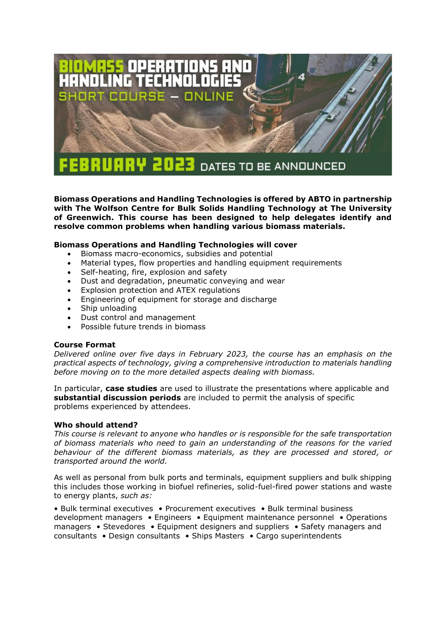

**Biomass Operations and Handling Technologies is offered by ABTO in partnership with The Wolfson Centre for Bulk Solids Handling Technology at The University of Greenwich. This course has been designed to help delegates identify and resolve common problems when handling various biomass materials.**

# **Biomass Operations and Handling Technologies will cover**

- Biomass macro-economics, subsidies and potential
- Material types, flow properties and handling equipment requirements
- Self-heating, fire, explosion and safety
- Dust and degradation, pneumatic conveying and wear
- Explosion protection and ATEX regulations
- Engineering of equipment for storage and discharge
- Ship unloading
- Dust control and management
- Possible future trends in biomass

#### **Course Format**

*Delivered online over five days in February 2023, the course has an emphasis on the practical aspects of technology, giving a comprehensive introduction to materials handling before moving on to the more detailed aspects dealing with biomass.*

In particular, **case studies** are used to illustrate the presentations where applicable and **substantial discussion periods** are included to permit the analysis of specific problems experienced by attendees.

#### **Who should attend?**

*This course is relevant to anyone who handles or is responsible for the safe transportation of biomass materials who need to gain an understanding of the reasons for the varied behaviour of the different biomass materials, as they are processed and stored, or transported around the world.*

As well as personal from bulk ports and terminals, equipment suppliers and bulk shipping this includes those working in biofuel refineries, solid-fuel-fired power stations and waste to energy plants, *such as:*

• Bulk terminal executives • Procurement executives • Bulk terminal business development managers • Engineers • Equipment maintenance personnel • Operations managers • Stevedores • Equipment designers and suppliers • Safety managers and consultants • Design consultants • Ships Masters • Cargo superintendents